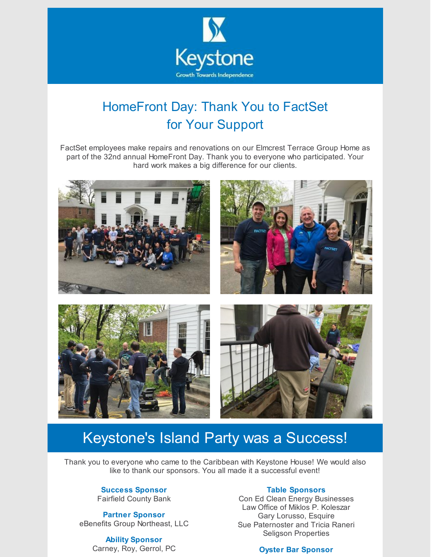

## HomeFront Day: Thank You to FactSet for Your Support

FactSet employees make repairs and renovations on our Elmcrest Terrace Group Home as part of the 32nd annual HomeFront Day. Thank you to everyone who participated. Your hard work makes a big difference for our clients.



## Keystone's Island Party was a Success!

Thank you to everyone who came to the Caribbean with Keystone House! We would also like to thank our sponsors. You all made it a successful event!

### **Success Sponsor**

Fairfield County Bank

**Partner Sponsor** eBenefits Group Northeast, LLC

> **Ability Sponsor** Carney, Roy, Gerrol, PC

#### **Table Sponsors**

Con Ed Clean Energy Businesses Law Office of Miklos P. Koleszar Gary Lorusso, Esquire Sue Paternoster and Tricia Raneri Seligson Properties

### **Oyster Bar Sponsor**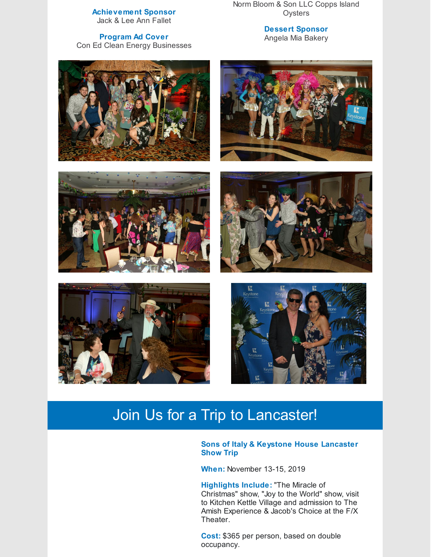#### **Achievement Sponsor** Jack & Lee Ann Fallet

Norm Bloom & Son LLC Copps Island **Oysters** 

**Program Ad Cover** Con Ed Clean Energy Businesses **Dessert Sponsor** Angela Mia Bakery













# Join Us for a Trip to Lancaster!

### **Sons of Italy & Keystone House Lancaster Show Trip**

**When:** November 13-15, 2019

**Highlights Include:** "The Miracle of Christmas" show, "Joy to the World" show, visit to Kitchen Kettle Village and admission to The Amish Experience & Jacob's Choice at the F/X Theater.

**Cost:** \$365 per person, based on double occupancy.